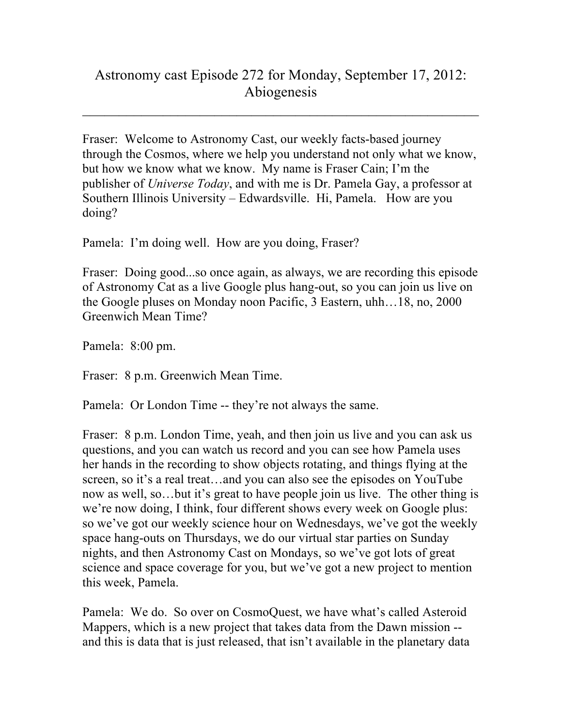## Astronomy cast Episode 272 for Monday, September 17, 2012: Abiogenesis

 $\_$ 

Fraser: Welcome to Astronomy Cast, our weekly facts-based journey through the Cosmos, where we help you understand not only what we know, but how we know what we know. My name is Fraser Cain; I'm the publisher of *Universe Today*, and with me is Dr. Pamela Gay, a professor at Southern Illinois University – Edwardsville. Hi, Pamela. How are you doing?

Pamela: I'm doing well. How are you doing, Fraser?

Fraser: Doing good...so once again, as always, we are recording this episode of Astronomy Cat as a live Google plus hang-out, so you can join us live on the Google pluses on Monday noon Pacific, 3 Eastern, uhh…18, no, 2000 Greenwich Mean Time?

Pamela: 8:00 pm.

Fraser: 8 p.m. Greenwich Mean Time.

Pamela: Or London Time -- they're not always the same.

Fraser: 8 p.m. London Time, yeah, and then join us live and you can ask us questions, and you can watch us record and you can see how Pamela uses her hands in the recording to show objects rotating, and things flying at the screen, so it's a real treat…and you can also see the episodes on YouTube now as well, so…but it's great to have people join us live. The other thing is we're now doing, I think, four different shows every week on Google plus: so we've got our weekly science hour on Wednesdays, we've got the weekly space hang-outs on Thursdays, we do our virtual star parties on Sunday nights, and then Astronomy Cast on Mondays, so we've got lots of great science and space coverage for you, but we've got a new project to mention this week, Pamela.

Pamela: We do. So over on CosmoQuest, we have what's called Asteroid Mappers, which is a new project that takes data from the Dawn mission - and this is data that is just released, that isn't available in the planetary data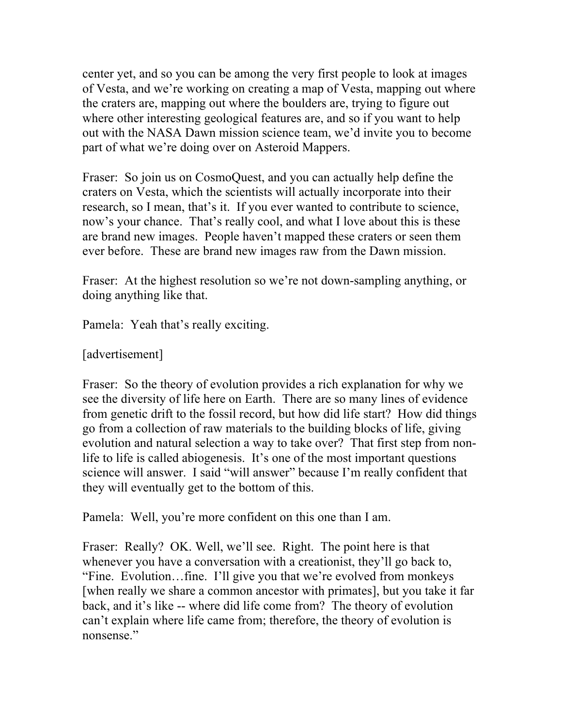center yet, and so you can be among the very first people to look at images of Vesta, and we're working on creating a map of Vesta, mapping out where the craters are, mapping out where the boulders are, trying to figure out where other interesting geological features are, and so if you want to help out with the NASA Dawn mission science team, we'd invite you to become part of what we're doing over on Asteroid Mappers.

Fraser: So join us on CosmoQuest, and you can actually help define the craters on Vesta, which the scientists will actually incorporate into their research, so I mean, that's it. If you ever wanted to contribute to science, now's your chance. That's really cool, and what I love about this is these are brand new images. People haven't mapped these craters or seen them ever before. These are brand new images raw from the Dawn mission.

Fraser: At the highest resolution so we're not down-sampling anything, or doing anything like that.

Pamela: Yeah that's really exciting.

[advertisement]

Fraser: So the theory of evolution provides a rich explanation for why we see the diversity of life here on Earth. There are so many lines of evidence from genetic drift to the fossil record, but how did life start? How did things go from a collection of raw materials to the building blocks of life, giving evolution and natural selection a way to take over? That first step from nonlife to life is called abiogenesis. It's one of the most important questions science will answer. I said "will answer" because I'm really confident that they will eventually get to the bottom of this.

Pamela: Well, you're more confident on this one than I am.

Fraser: Really? OK. Well, we'll see. Right. The point here is that whenever you have a conversation with a creationist, they'll go back to, "Fine. Evolution…fine. I'll give you that we're evolved from monkeys [when really we share a common ancestor with primates], but you take it far back, and it's like -- where did life come from? The theory of evolution can't explain where life came from; therefore, the theory of evolution is nonsense."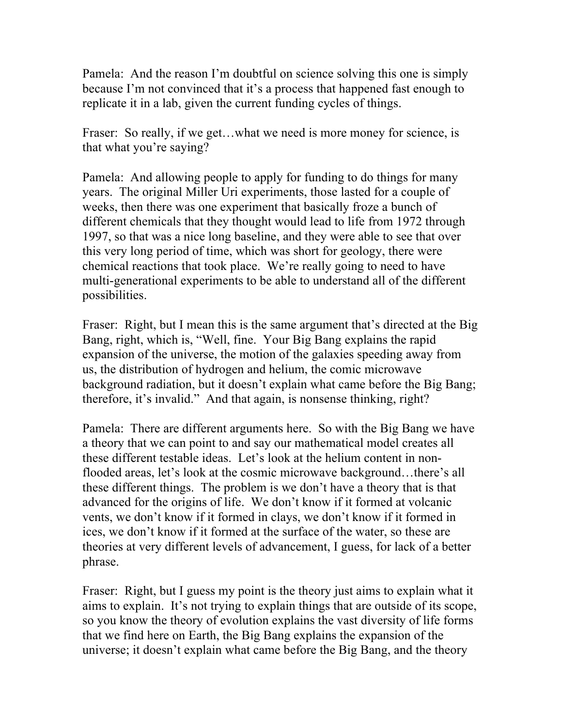Pamela: And the reason I'm doubtful on science solving this one is simply because I'm not convinced that it's a process that happened fast enough to replicate it in a lab, given the current funding cycles of things.

Fraser: So really, if we get... what we need is more money for science, is that what you're saying?

Pamela: And allowing people to apply for funding to do things for many years. The original Miller Uri experiments, those lasted for a couple of weeks, then there was one experiment that basically froze a bunch of different chemicals that they thought would lead to life from 1972 through 1997, so that was a nice long baseline, and they were able to see that over this very long period of time, which was short for geology, there were chemical reactions that took place. We're really going to need to have multi-generational experiments to be able to understand all of the different possibilities.

Fraser: Right, but I mean this is the same argument that's directed at the Big Bang, right, which is, "Well, fine. Your Big Bang explains the rapid expansion of the universe, the motion of the galaxies speeding away from us, the distribution of hydrogen and helium, the comic microwave background radiation, but it doesn't explain what came before the Big Bang; therefore, it's invalid." And that again, is nonsense thinking, right?

Pamela: There are different arguments here. So with the Big Bang we have a theory that we can point to and say our mathematical model creates all these different testable ideas. Let's look at the helium content in nonflooded areas, let's look at the cosmic microwave background…there's all these different things. The problem is we don't have a theory that is that advanced for the origins of life. We don't know if it formed at volcanic vents, we don't know if it formed in clays, we don't know if it formed in ices, we don't know if it formed at the surface of the water, so these are theories at very different levels of advancement, I guess, for lack of a better phrase.

Fraser: Right, but I guess my point is the theory just aims to explain what it aims to explain. It's not trying to explain things that are outside of its scope, so you know the theory of evolution explains the vast diversity of life forms that we find here on Earth, the Big Bang explains the expansion of the universe; it doesn't explain what came before the Big Bang, and the theory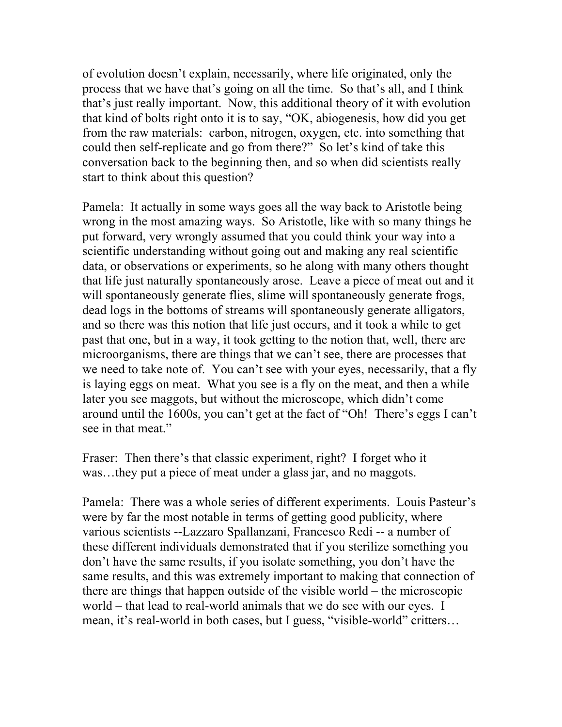of evolution doesn't explain, necessarily, where life originated, only the process that we have that's going on all the time. So that's all, and I think that's just really important. Now, this additional theory of it with evolution that kind of bolts right onto it is to say, "OK, abiogenesis, how did you get from the raw materials: carbon, nitrogen, oxygen, etc. into something that could then self-replicate and go from there?" So let's kind of take this conversation back to the beginning then, and so when did scientists really start to think about this question?

Pamela: It actually in some ways goes all the way back to Aristotle being wrong in the most amazing ways. So Aristotle, like with so many things he put forward, very wrongly assumed that you could think your way into a scientific understanding without going out and making any real scientific data, or observations or experiments, so he along with many others thought that life just naturally spontaneously arose. Leave a piece of meat out and it will spontaneously generate flies, slime will spontaneously generate frogs, dead logs in the bottoms of streams will spontaneously generate alligators, and so there was this notion that life just occurs, and it took a while to get past that one, but in a way, it took getting to the notion that, well, there are microorganisms, there are things that we can't see, there are processes that we need to take note of. You can't see with your eyes, necessarily, that a fly is laying eggs on meat. What you see is a fly on the meat, and then a while later you see maggots, but without the microscope, which didn't come around until the 1600s, you can't get at the fact of "Oh! There's eggs I can't see in that meat."

Fraser: Then there's that classic experiment, right? I forget who it was…they put a piece of meat under a glass jar, and no maggots.

Pamela: There was a whole series of different experiments. Louis Pasteur's were by far the most notable in terms of getting good publicity, where various scientists --Lazzaro Spallanzani, Francesco Redi -- a number of these different individuals demonstrated that if you sterilize something you don't have the same results, if you isolate something, you don't have the same results, and this was extremely important to making that connection of there are things that happen outside of the visible world – the microscopic world – that lead to real-world animals that we do see with our eyes. I mean, it's real-world in both cases, but I guess, "visible-world" critters…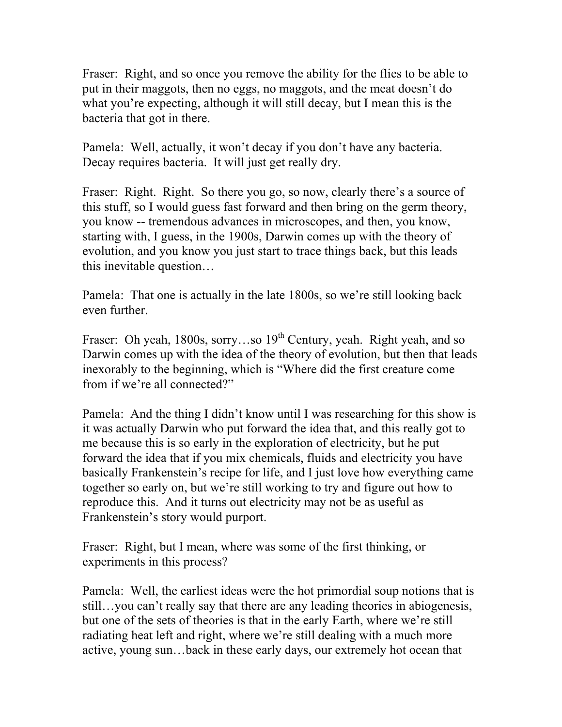Fraser: Right, and so once you remove the ability for the flies to be able to put in their maggots, then no eggs, no maggots, and the meat doesn't do what you're expecting, although it will still decay, but I mean this is the bacteria that got in there.

Pamela: Well, actually, it won't decay if you don't have any bacteria. Decay requires bacteria. It will just get really dry.

Fraser: Right. Right. So there you go, so now, clearly there's a source of this stuff, so I would guess fast forward and then bring on the germ theory, you know -- tremendous advances in microscopes, and then, you know, starting with, I guess, in the 1900s, Darwin comes up with the theory of evolution, and you know you just start to trace things back, but this leads this inevitable question…

Pamela: That one is actually in the late 1800s, so we're still looking back even further.

Fraser: Oh yeah, 1800s, sorry...so 19<sup>th</sup> Century, yeah. Right yeah, and so Darwin comes up with the idea of the theory of evolution, but then that leads inexorably to the beginning, which is "Where did the first creature come from if we're all connected?"

Pamela: And the thing I didn't know until I was researching for this show is it was actually Darwin who put forward the idea that, and this really got to me because this is so early in the exploration of electricity, but he put forward the idea that if you mix chemicals, fluids and electricity you have basically Frankenstein's recipe for life, and I just love how everything came together so early on, but we're still working to try and figure out how to reproduce this. And it turns out electricity may not be as useful as Frankenstein's story would purport.

Fraser: Right, but I mean, where was some of the first thinking, or experiments in this process?

Pamela: Well, the earliest ideas were the hot primordial soup notions that is still…you can't really say that there are any leading theories in abiogenesis, but one of the sets of theories is that in the early Earth, where we're still radiating heat left and right, where we're still dealing with a much more active, young sun…back in these early days, our extremely hot ocean that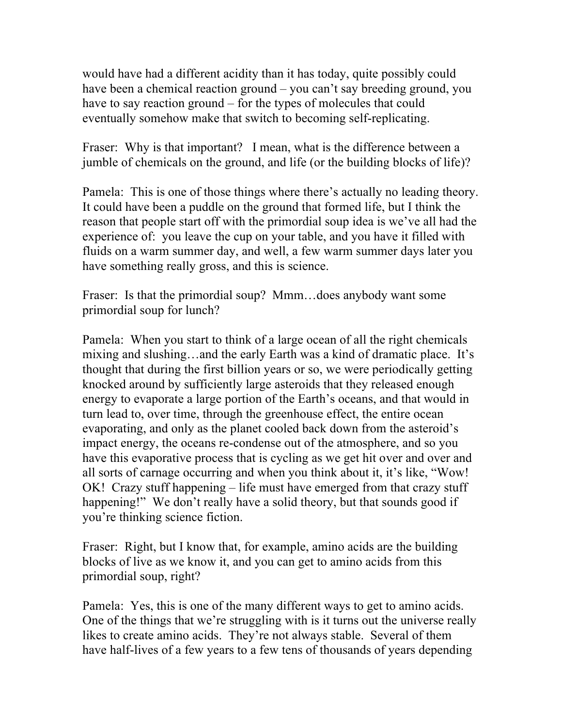would have had a different acidity than it has today, quite possibly could have been a chemical reaction ground – you can't say breeding ground, you have to say reaction ground – for the types of molecules that could eventually somehow make that switch to becoming self-replicating.

Fraser: Why is that important? I mean, what is the difference between a jumble of chemicals on the ground, and life (or the building blocks of life)?

Pamela: This is one of those things where there's actually no leading theory. It could have been a puddle on the ground that formed life, but I think the reason that people start off with the primordial soup idea is we've all had the experience of: you leave the cup on your table, and you have it filled with fluids on a warm summer day, and well, a few warm summer days later you have something really gross, and this is science.

Fraser: Is that the primordial soup? Mmm…does anybody want some primordial soup for lunch?

Pamela: When you start to think of a large ocean of all the right chemicals mixing and slushing…and the early Earth was a kind of dramatic place. It's thought that during the first billion years or so, we were periodically getting knocked around by sufficiently large asteroids that they released enough energy to evaporate a large portion of the Earth's oceans, and that would in turn lead to, over time, through the greenhouse effect, the entire ocean evaporating, and only as the planet cooled back down from the asteroid's impact energy, the oceans re-condense out of the atmosphere, and so you have this evaporative process that is cycling as we get hit over and over and all sorts of carnage occurring and when you think about it, it's like, "Wow! OK! Crazy stuff happening – life must have emerged from that crazy stuff happening!" We don't really have a solid theory, but that sounds good if you're thinking science fiction.

Fraser: Right, but I know that, for example, amino acids are the building blocks of live as we know it, and you can get to amino acids from this primordial soup, right?

Pamela: Yes, this is one of the many different ways to get to amino acids. One of the things that we're struggling with is it turns out the universe really likes to create amino acids. They're not always stable. Several of them have half-lives of a few years to a few tens of thousands of years depending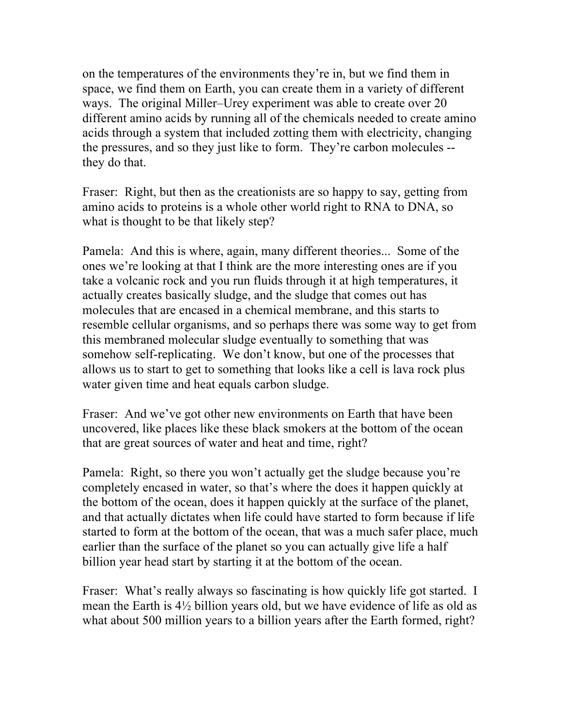on the temperatures of the environments they're in, but we find them in space, we find them on Earth, you can create them in a variety of different ways. The original Miller–Urey experiment was able to create over 20 different amino acids by running all of the chemicals needed to create amino acids through a system that included zotting them with electricity, changing the pressures, and so they just like to form. They're carbon molecules - they do that.

Fraser: Right, but then as the creationists are so happy to say, getting from amino acids to proteins is a whole other world right to RNA to DNA, so what is thought to be that likely step?

Pamela: And this is where, again, many different theories... Some of the ones we're looking at that I think are the more interesting ones are if you take a volcanic rock and you run fluids through it at high temperatures, it actually creates basically sludge, and the sludge that comes out has molecules that are encased in a chemical membrane, and this starts to resemble cellular organisms, and so perhaps there was some way to get from this membraned molecular sludge eventually to something that was somehow self-replicating. We don't know, but one of the processes that allows us to start to get to something that looks like a cell is lava rock plus water given time and heat equals carbon sludge.

Fraser: And we've got other new environments on Earth that have been uncovered, like places like these black smokers at the bottom of the ocean that are great sources of water and heat and time, right?

Pamela: Right, so there you won't actually get the sludge because you're completely encased in water, so that's where the does it happen quickly at the bottom of the ocean, does it happen quickly at the surface of the planet, and that actually dictates when life could have started to form because if life started to form at the bottom of the ocean, that was a much safer place, much earlier than the surface of the planet so you can actually give life a half billion year head start by starting it at the bottom of the ocean.

Fraser: What's really always so fascinating is how quickly life got started. I mean the Earth is 4½ billion years old, but we have evidence of life as old as what about 500 million years to a billion years after the Earth formed, right?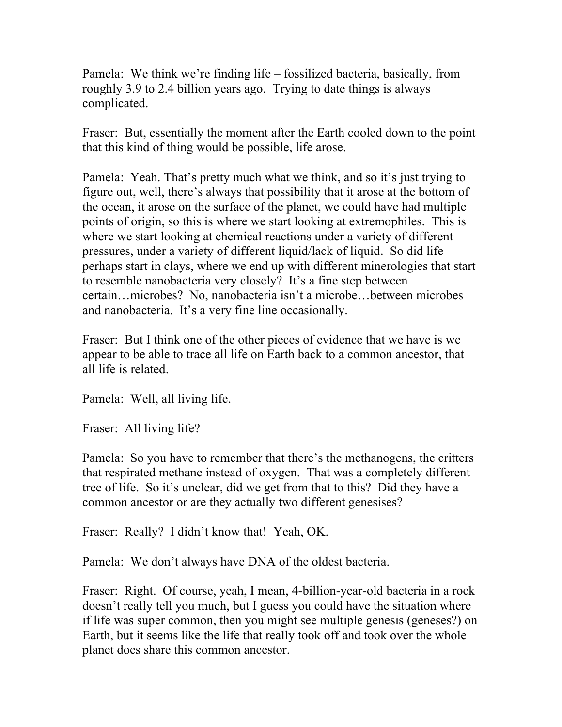Pamela: We think we're finding life – fossilized bacteria, basically, from roughly 3.9 to 2.4 billion years ago. Trying to date things is always complicated.

Fraser: But, essentially the moment after the Earth cooled down to the point that this kind of thing would be possible, life arose.

Pamela: Yeah. That's pretty much what we think, and so it's just trying to figure out, well, there's always that possibility that it arose at the bottom of the ocean, it arose on the surface of the planet, we could have had multiple points of origin, so this is where we start looking at extremophiles. This is where we start looking at chemical reactions under a variety of different pressures, under a variety of different liquid/lack of liquid. So did life perhaps start in clays, where we end up with different minerologies that start to resemble nanobacteria very closely? It's a fine step between certain…microbes? No, nanobacteria isn't a microbe…between microbes and nanobacteria. It's a very fine line occasionally.

Fraser: But I think one of the other pieces of evidence that we have is we appear to be able to trace all life on Earth back to a common ancestor, that all life is related.

Pamela: Well, all living life.

Fraser: All living life?

Pamela: So you have to remember that there's the methanogens, the critters that respirated methane instead of oxygen. That was a completely different tree of life. So it's unclear, did we get from that to this? Did they have a common ancestor or are they actually two different genesises?

Fraser: Really? I didn't know that! Yeah, OK.

Pamela: We don't always have DNA of the oldest bacteria.

Fraser: Right. Of course, yeah, I mean, 4-billion-year-old bacteria in a rock doesn't really tell you much, but I guess you could have the situation where if life was super common, then you might see multiple genesis (geneses?) on Earth, but it seems like the life that really took off and took over the whole planet does share this common ancestor.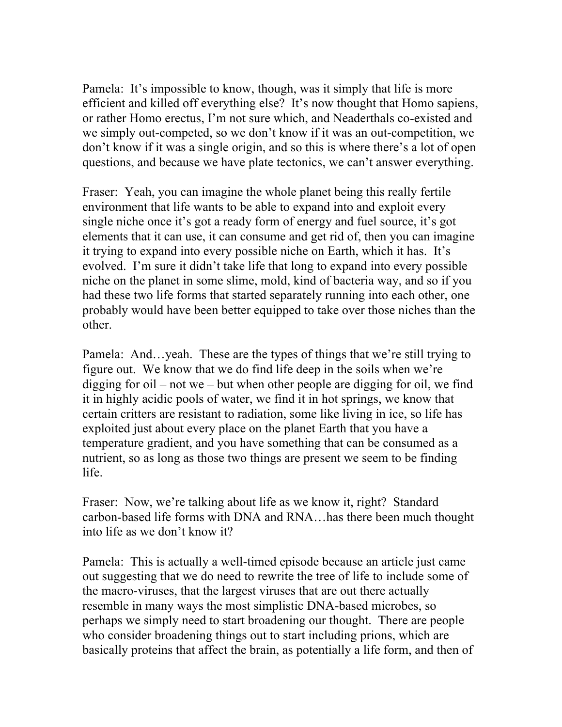Pamela: It's impossible to know, though, was it simply that life is more efficient and killed off everything else? It's now thought that Homo sapiens, or rather Homo erectus, I'm not sure which, and Neaderthals co-existed and we simply out-competed, so we don't know if it was an out-competition, we don't know if it was a single origin, and so this is where there's a lot of open questions, and because we have plate tectonics, we can't answer everything.

Fraser: Yeah, you can imagine the whole planet being this really fertile environment that life wants to be able to expand into and exploit every single niche once it's got a ready form of energy and fuel source, it's got elements that it can use, it can consume and get rid of, then you can imagine it trying to expand into every possible niche on Earth, which it has. It's evolved. I'm sure it didn't take life that long to expand into every possible niche on the planet in some slime, mold, kind of bacteria way, and so if you had these two life forms that started separately running into each other, one probably would have been better equipped to take over those niches than the other.

Pamela: And…yeah. These are the types of things that we're still trying to figure out. We know that we do find life deep in the soils when we're digging for oil – not we – but when other people are digging for oil, we find it in highly acidic pools of water, we find it in hot springs, we know that certain critters are resistant to radiation, some like living in ice, so life has exploited just about every place on the planet Earth that you have a temperature gradient, and you have something that can be consumed as a nutrient, so as long as those two things are present we seem to be finding life.

Fraser: Now, we're talking about life as we know it, right? Standard carbon-based life forms with DNA and RNA…has there been much thought into life as we don't know it?

Pamela: This is actually a well-timed episode because an article just came out suggesting that we do need to rewrite the tree of life to include some of the macro-viruses, that the largest viruses that are out there actually resemble in many ways the most simplistic DNA-based microbes, so perhaps we simply need to start broadening our thought. There are people who consider broadening things out to start including prions, which are basically proteins that affect the brain, as potentially a life form, and then of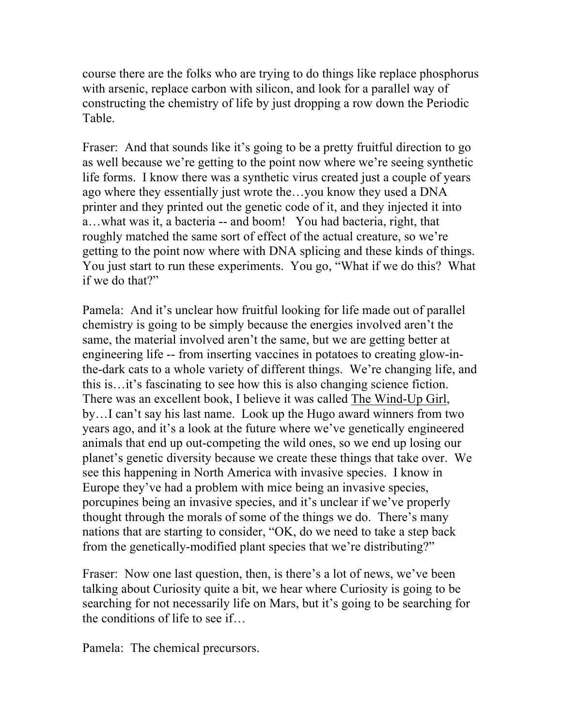course there are the folks who are trying to do things like replace phosphorus with arsenic, replace carbon with silicon, and look for a parallel way of constructing the chemistry of life by just dropping a row down the Periodic Table.

Fraser: And that sounds like it's going to be a pretty fruitful direction to go as well because we're getting to the point now where we're seeing synthetic life forms. I know there was a synthetic virus created just a couple of years ago where they essentially just wrote the…you know they used a DNA printer and they printed out the genetic code of it, and they injected it into a…what was it, a bacteria -- and boom! You had bacteria, right, that roughly matched the same sort of effect of the actual creature, so we're getting to the point now where with DNA splicing and these kinds of things. You just start to run these experiments. You go, "What if we do this? What if we do that?"

Pamela: And it's unclear how fruitful looking for life made out of parallel chemistry is going to be simply because the energies involved aren't the same, the material involved aren't the same, but we are getting better at engineering life -- from inserting vaccines in potatoes to creating glow-inthe-dark cats to a whole variety of different things. We're changing life, and this is…it's fascinating to see how this is also changing science fiction. There was an excellent book, I believe it was called The Wind-Up Girl, by…I can't say his last name. Look up the Hugo award winners from two years ago, and it's a look at the future where we've genetically engineered animals that end up out-competing the wild ones, so we end up losing our planet's genetic diversity because we create these things that take over. We see this happening in North America with invasive species. I know in Europe they've had a problem with mice being an invasive species, porcupines being an invasive species, and it's unclear if we've properly thought through the morals of some of the things we do. There's many nations that are starting to consider, "OK, do we need to take a step back from the genetically-modified plant species that we're distributing?"

Fraser: Now one last question, then, is there's a lot of news, we've been talking about Curiosity quite a bit, we hear where Curiosity is going to be searching for not necessarily life on Mars, but it's going to be searching for the conditions of life to see if…

Pamela: The chemical precursors.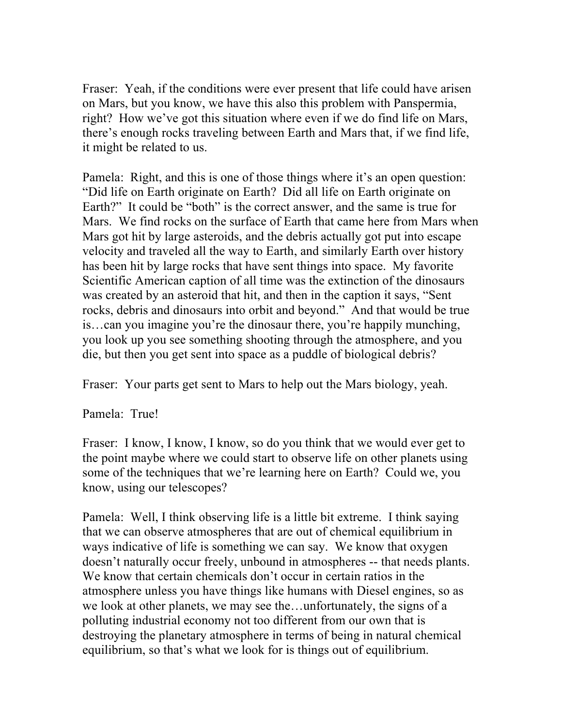Fraser: Yeah, if the conditions were ever present that life could have arisen on Mars, but you know, we have this also this problem with Panspermia, right? How we've got this situation where even if we do find life on Mars, there's enough rocks traveling between Earth and Mars that, if we find life, it might be related to us.

Pamela: Right, and this is one of those things where it's an open question: "Did life on Earth originate on Earth? Did all life on Earth originate on Earth?" It could be "both" is the correct answer, and the same is true for Mars. We find rocks on the surface of Earth that came here from Mars when Mars got hit by large asteroids, and the debris actually got put into escape velocity and traveled all the way to Earth, and similarly Earth over history has been hit by large rocks that have sent things into space. My favorite Scientific American caption of all time was the extinction of the dinosaurs was created by an asteroid that hit, and then in the caption it says, "Sent rocks, debris and dinosaurs into orbit and beyond." And that would be true is…can you imagine you're the dinosaur there, you're happily munching, you look up you see something shooting through the atmosphere, and you die, but then you get sent into space as a puddle of biological debris?

Fraser: Your parts get sent to Mars to help out the Mars biology, yeah.

Pamela: True!

Fraser: I know, I know, I know, so do you think that we would ever get to the point maybe where we could start to observe life on other planets using some of the techniques that we're learning here on Earth? Could we, you know, using our telescopes?

Pamela: Well, I think observing life is a little bit extreme. I think saying that we can observe atmospheres that are out of chemical equilibrium in ways indicative of life is something we can say. We know that oxygen doesn't naturally occur freely, unbound in atmospheres -- that needs plants. We know that certain chemicals don't occur in certain ratios in the atmosphere unless you have things like humans with Diesel engines, so as we look at other planets, we may see the…unfortunately, the signs of a polluting industrial economy not too different from our own that is destroying the planetary atmosphere in terms of being in natural chemical equilibrium, so that's what we look for is things out of equilibrium.